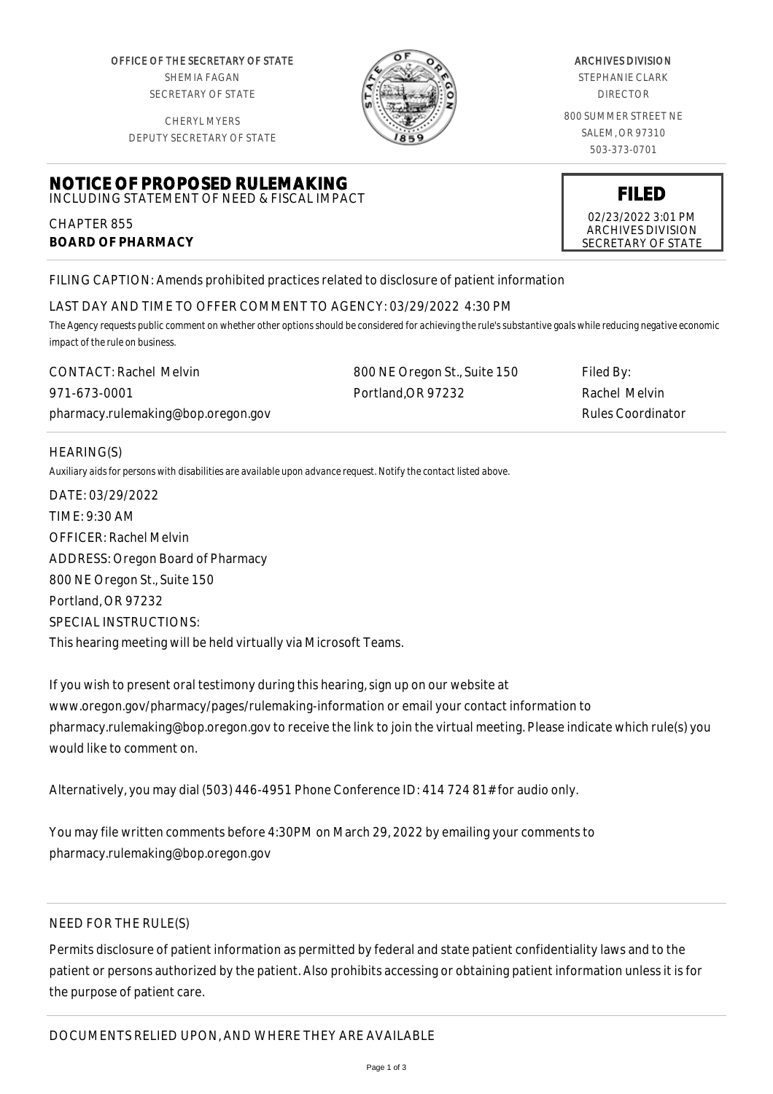OFFICE OF THE SECRETARY OF STATE SHEMIA FAGAN SECRETARY OF STATE

CHERYL MYERS



#### ARCHIVES DIVISION

STEPHANIE CLARK DIRECTOR

800 SUMMER STREET NE SALEM, OR 97310 503-373-0701

> **FILED** 02/23/2022 3:01 PM ARCHIVES DIVISION SECRETARY OF STATE

DEPUTY SECRETARY OF STATE

# **NOTICE OF PROPOSED RULEMAKING** INCLUDING STATEMENT OF NEED & FISCAL IMPACT

CHAPTER 855 **BOARD OF PHARMACY**

FILING CAPTION: Amends prohibited practices related to disclosure of patient information

# LAST DAY AND TIME TO OFFER COMMENT TO AGENCY: 03/29/2022 4:30 PM

*The Agency requests public comment on whether other options should be considered for achieving the rule's substantive goals while reducing negative economic impact of the rule on business.*

| <b>CONTACT: Rachel Melvin</b>      | 800 NE Oregon St., Suite 150 | Filed By:         |
|------------------------------------|------------------------------|-------------------|
| 971-673-0001                       | Portland OR 97232            | Rachel Melvin     |
| pharmacy.rulemaking@bop.oregon.gov |                              | Rules Coordinator |

## HEARING(S)

*Auxiliary aids for persons with disabilities are available upon advance request. Notify the contact listed above.*

DATE: 03/29/2022 TIME: 9:30 AM OFFICER: Rachel Melvin ADDRESS: Oregon Board of Pharmacy 800 NE Oregon St., Suite 150 Portland, OR 97232 SPECIAL INSTRUCTIONS: This hearing meeting will be held virtually via Microsoft Teams.

If you wish to present oral testimony during this hearing, sign up on our website at www.oregon.gov/pharmacy/pages/rulemaking-information or email your contact information to pharmacy.rulemaking@bop.oregon.gov to receive the link to join the virtual meeting. Please indicate which rule(s) you would like to comment on.

Alternatively, you may dial (503) 446-4951 Phone Conference ID: 414 724 81# for audio only.

You may file written comments before 4:30PM on March 29, 2022 by emailing your comments to pharmacy.rulemaking@bop.oregon.gov

# NEED FOR THE RULE(S)

Permits disclosure of patient information as permitted by federal and state patient confidentiality laws and to the patient or persons authorized by the patient. Also prohibits accessing or obtaining patient information unless it is for the purpose of patient care.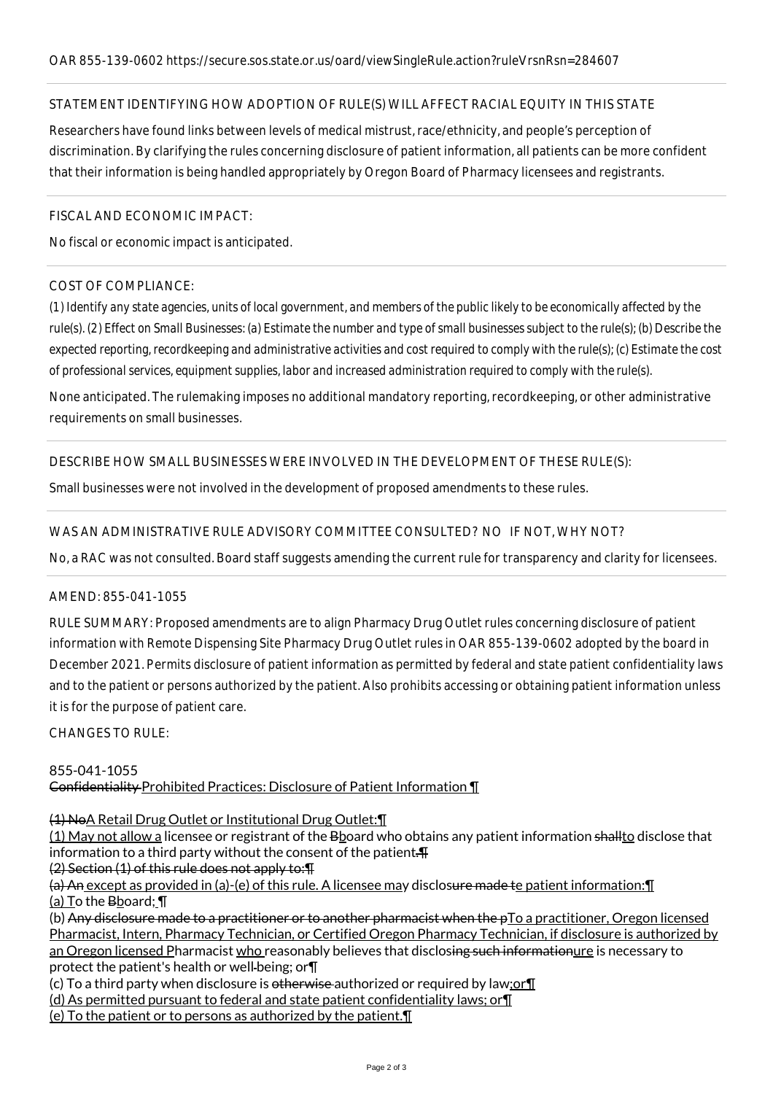## STATEMENT IDENTIFYING HOW ADOPTION OF RULE(S) WILL AFFECT RACIAL EQUITY IN THIS STATE

Researchers have found links between levels of medical mistrust, race/ethnicity, and people's perception of discrimination. By clarifying the rules concerning disclosure of patient information, all patients can be more confident that their information is being handled appropriately by Oregon Board of Pharmacy licensees and registrants.

#### FISCAL AND ECONOMIC IMPACT:

No fiscal or economic impact is anticipated.

## COST OF COMPLIANCE:

*(1) Identify any state agencies, units of local government, and members of the public likely to be economically affected by the rule(s). (2) Effect on Small Businesses: (a) Estimate the number and type of small businesses subject to the rule(s); (b) Describe the expected reporting, recordkeeping and administrative activities and cost required to comply with the rule(s); (c) Estimate the cost of professional services, equipment supplies, labor and increased administration required to comply with the rule(s).*

None anticipated. The rulemaking imposes no additional mandatory reporting, recordkeeping, or other administrative requirements on small businesses.

DESCRIBE HOW SMALL BUSINESSES WERE INVOLVED IN THE DEVELOPMENT OF THESE RULE(S):

Small businesses were not involved in the development of proposed amendments to these rules.

## WAS AN ADMINISTRATIVE RULE ADVISORY COMMITTEE CONSULTED? NO IF NOT, WHY NOT?

No, a RAC was not consulted. Board staff suggests amending the current rule for transparency and clarity for licensees.

## AMEND: 855-041-1055

RULE SUMMARY: Proposed amendments are to align Pharmacy Drug Outlet rules concerning disclosure of patient information with Remote Dispensing Site Pharmacy Drug Outlet rules in OAR 855-139-0602 adopted by the board in December 2021. Permits disclosure of patient information as permitted by federal and state patient confidentiality laws and to the patient or persons authorized by the patient. Also prohibits accessing or obtaining patient information unless it is for the purpose of patient care.

CHANGES TO RULE:

## 855-041-1055 Confidentiality Prohibited Practices: Disclosure of Patient Information ¶

(1) NoA Retail Drug Outlet or Institutional Drug Outlet:¶

(1) May not allow a licensee or registrant of the Bboard who obtains any patient information shallto disclose that information to a third party without the consent of the patient. $\text{H}$ 

(2) Section (1) of this rule does not apply to:¶

(a) An except as provided in (a)-(e) of this rule. A licensee may disclosure made te patient information:¶ (a) To the Bboard; \[

(b) Any disclosure made to a practitioner or to another pharmacist when the pTo a practitioner, Oregon licensed Pharmacist, Intern, Pharmacy Technician, or Certified Oregon Pharmacy Technician, if disclosure is authorized by an Oregon licensed Pharmacist who reasonably believes that disclosing such informationure is necessary to protect the patient's health or well-being; or $\P$ 

(c) To a third party when disclosure is otherwise authorized or required by law;or¶

(d) As permitted pursuant to federal and state patient confidentiality laws; or¶

(e) To the patient or to persons as authorized by the patient.¶